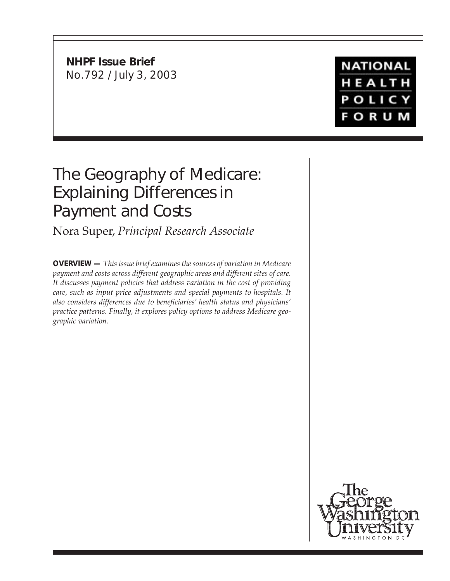**NHPF Issue Brief** No.792 / July 3, 2003

# **NATIONAL** HEALTH POLICY **FORUM**

# The Geography of Medicare: Explaining Differences in Payment and Costs

Nora Super, *Principal Research Associate*

**OVERVIEW —** *This issue brief examines the sources of variation in Medicare payment and costs across different geographic areas and different sites of care. It discusses payment policies that address variation in the cost of providing care, such as input price adjustments and special payments to hospitals. It also considers differences due to beneficiaries' health status and physicians' practice patterns. Finally, it explores policy options to address Medicare geographic variation.*

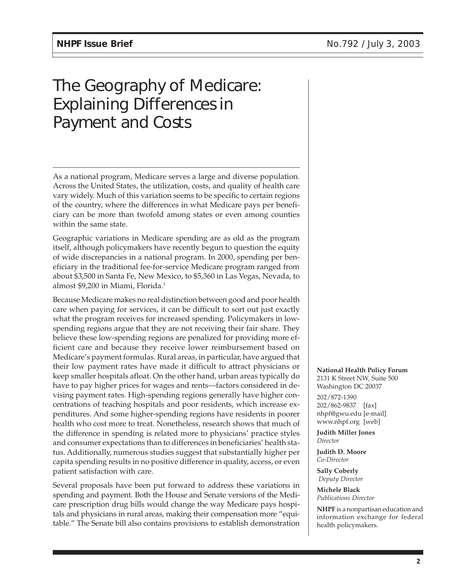# The Geography of Medicare: Explaining Differences in Payment and Costs

As a national program, Medicare serves a large and diverse population. Across the United States, the utilization, costs, and quality of health care vary widely. Much of this variation seems to be specific to certain regions of the country, where the differences in what Medicare pays per beneficiary can be more than twofold among states or even among counties within the same state.

Geographic variations in Medicare spending are as old as the program itself, although policymakers have recently begun to question the equity of wide discrepancies in a national program. In 2000, spending per beneficiary in the traditional fee-for-service Medicare program ranged from about \$3,500 in Santa Fe, New Mexico, to \$5,360 in Las Vegas, Nevada, to almost \$9,200 in Miami, Florida.<sup>1</sup>

Because Medicare makes no real distinction between good and poor health care when paying for services, it can be difficult to sort out just exactly what the program receives for increased spending. Policymakers in lowspending regions argue that they are not receiving their fair share. They believe these low-spending regions are penalized for providing more efficient care and because they receive lower reimbursement based on Medicare's payment formulas. Rural areas, in particular, have argued that their low payment rates have made it difficult to attract physicians or keep smaller hospitals afloat. On the other hand, urban areas typically do have to pay higher prices for wages and rents—factors considered in devising payment rates. High-spending regions generally have higher concentrations of teaching hospitals and poor residents, which increase expenditures. And some higher-spending regions have residents in poorer health who cost more to treat. Nonetheless, research shows that much of the difference in spending is related more to physicians' practice styles and consumer expectations than to differences in beneficiaries' health status. Additionally, numerous studies suggest that substantially higher per capita spending results in no positive difference in quality, access, or even patient satisfaction with care.

Several proposals have been put forward to address these variations in spending and payment. Both the House and Senate versions of the Medicare prescription drug bills would change the way Medicare pays hospitals and physicians in rural areas, making their compensation more "equitable." The Senate bill also contains provisions to establish demonstration

#### **National Health Policy Forum**

2131 K Street NW, Suite 500 Washington DC 20037 202/872-1390 202/862-9837 [fax] nhpf@gwu.edu [e-mail] www.nhpf.org [web]

**Judith Miller Jones** *Director*

**Judith D. Moore** *Co-Director*

**Sally Coberly**  *Deputy Director*

**Michele Black** *Publications Director*

**NHPF** is a nonpartisan education and information exchange for federal health policymakers.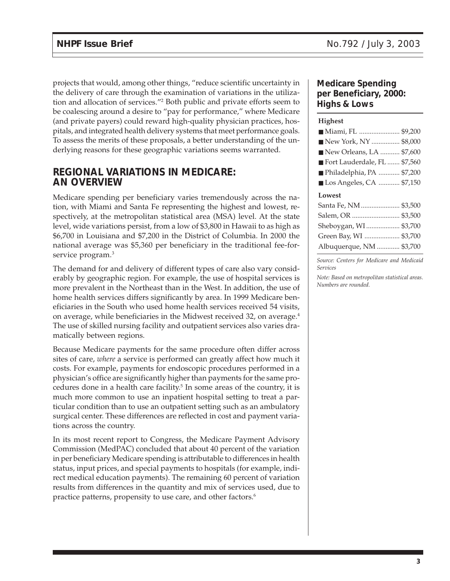projects that would, among other things, "reduce scientific uncertainty in the delivery of care through the examination of variations in the utilization and allocation of services."2 Both public and private efforts seem to be coalescing around a desire to "pay for performance," where Medicare (and private payers) could reward high-quality physician practices, hospitals, and integrated health delivery systems that meet performance goals. To assess the merits of these proposals, a better understanding of the underlying reasons for these geographic variations seems warranted.

# **REGIONAL VARIATIONS IN MEDICARE: AN OVERVIEW**

Medicare spending per beneficiary varies tremendously across the nation, with Miami and Santa Fe representing the highest and lowest, respectively, at the metropolitan statistical area (MSA) level. At the state level, wide variations persist, from a low of \$3,800 in Hawaii to as high as \$6,700 in Louisiana and \$7,200 in the District of Columbia. In 2000 the national average was \$5,360 per beneficiary in the traditional fee-forservice program.<sup>3</sup>

The demand for and delivery of different types of care also vary considerably by geographic region. For example, the use of hospital services is more prevalent in the Northeast than in the West. In addition, the use of home health services differs significantly by area. In 1999 Medicare beneficiaries in the South who used home health services received 54 visits, on average, while beneficiaries in the Midwest received 32, on average.4 The use of skilled nursing facility and outpatient services also varies dramatically between regions.

Because Medicare payments for the same procedure often differ across sites of care, *where* a service is performed can greatly affect how much it costs. For example, payments for endoscopic procedures performed in a physician's office are significantly higher than payments for the same procedures done in a health care facility.<sup>5</sup> In some areas of the country, it is much more common to use an inpatient hospital setting to treat a particular condition than to use an outpatient setting such as an ambulatory surgical center. These differences are reflected in cost and payment variations across the country.

In its most recent report to Congress, the Medicare Payment Advisory Commission (MedPAC) concluded that about 40 percent of the variation in per beneficiary Medicare spending is attributable to differences in health status, input prices, and special payments to hospitals (for example, indirect medical education payments). The remaining 60 percent of variation results from differences in the quantity and mix of services used, due to practice patterns, propensity to use care, and other factors.<sup>6</sup>

#### **Medicare Spending per Beneficiary, 2000: Highs & Lows**

#### **Highest**

*Source: Centers for Medicare and Medicaid Services*

*Note: Based on metropolitan statistical areas. Numbers are rounded.*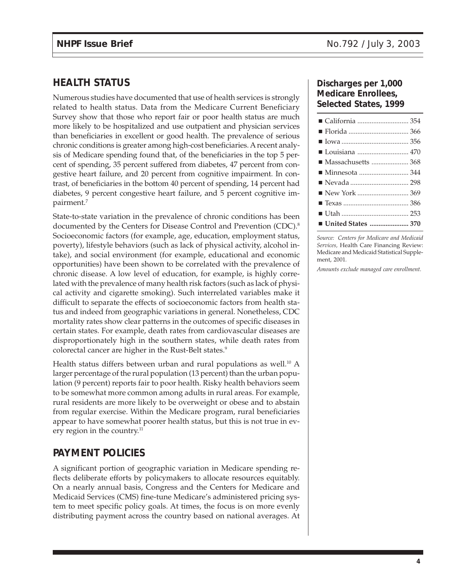# **HEALTH STATUS**

Numerous studies have documented that use of health services is strongly related to health status. Data from the Medicare Current Beneficiary Survey show that those who report fair or poor health status are much more likely to be hospitalized and use outpatient and physician services than beneficiaries in excellent or good health. The prevalence of serious chronic conditions is greater among high-cost beneficiaries. A recent analysis of Medicare spending found that, of the beneficiaries in the top 5 percent of spending, 35 percent suffered from diabetes, 47 percent from congestive heart failure, and 20 percent from cognitive impairment. In contrast, of beneficiaries in the bottom 40 percent of spending, 14 percent had diabetes, 9 percent congestive heart failure, and 5 percent cognitive impairment.7

State-to-state variation in the prevalence of chronic conditions has been documented by the Centers for Disease Control and Prevention (CDC).<sup>8</sup> Socioeconomic factors (for example, age, education, employment status, poverty), lifestyle behaviors (such as lack of physical activity, alcohol intake), and social environment (for example, educational and economic opportunities) have been shown to be correlated with the prevalence of chronic disease. A low level of education, for example, is highly correlated with the prevalence of many health risk factors (such as lack of physical activity and cigarette smoking). Such interrelated variables make it difficult to separate the effects of socioeconomic factors from health status and indeed from geographic variations in general. Nonetheless, CDC mortality rates show clear patterns in the outcomes of specific diseases in certain states. For example, death rates from cardiovascular diseases are disproportionately high in the southern states, while death rates from colorectal cancer are higher in the Rust-Belt states.<sup>9</sup>

Health status differs between urban and rural populations as well.<sup>10</sup> A larger percentage of the rural population (13 percent) than the urban population (9 percent) reports fair to poor health. Risky health behaviors seem to be somewhat more common among adults in rural areas. For example, rural residents are more likely to be overweight or obese and to abstain from regular exercise. Within the Medicare program, rural beneficiaries appear to have somewhat poorer health status, but this is not true in every region in the country.<sup>11</sup>

# **PAYMENT POLICIES**

A significant portion of geographic variation in Medicare spending reflects deliberate efforts by policymakers to allocate resources equitably. On a nearly annual basis, Congress and the Centers for Medicare and Medicaid Services (CMS) fine-tune Medicare's administered pricing system to meet specific policy goals. At times, the focus is on more evenly distributing payment across the country based on national averages. At

#### **Discharges per 1,000 Medicare Enrollees, Selected States, 1999**

| ■ Louisiana  470     |  |
|----------------------|--|
| ■ Massachusetts  368 |  |
|                      |  |
|                      |  |
|                      |  |
|                      |  |
|                      |  |
| ■ United States  370 |  |

*Source: Centers for Medicare and Medicaid Services,* Health Care Financing Review: Medicare and Medicaid Statistical Supplement, 2001*.*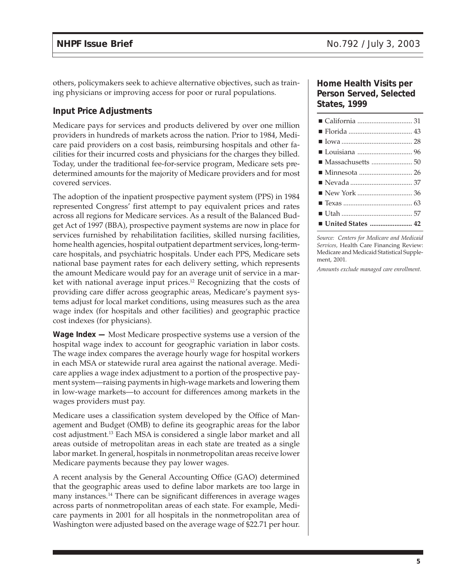others, policymakers seek to achieve alternative objectives, such as training physicians or improving access for poor or rural populations.

#### **Input Price Adjustments**

Medicare pays for services and products delivered by over one million providers in hundreds of markets across the nation. Prior to 1984, Medicare paid providers on a cost basis, reimbursing hospitals and other facilities for their incurred costs and physicians for the charges they billed. Today, under the traditional fee-for-service program, Medicare sets predetermined amounts for the majority of Medicare providers and for most covered services.

The adoption of the inpatient prospective payment system (PPS) in 1984 represented Congress' first attempt to pay equivalent prices and rates across all regions for Medicare services. As a result of the Balanced Budget Act of 1997 (BBA), prospective payment systems are now in place for services furnished by rehabilitation facilities, skilled nursing facilities, home health agencies, hospital outpatient department services, long-termcare hospitals, and psychiatric hospitals. Under each PPS, Medicare sets national base payment rates for each delivery setting, which represents the amount Medicare would pay for an average unit of service in a market with national average input prices.<sup>12</sup> Recognizing that the costs of providing care differ across geographic areas, Medicare's payment systems adjust for local market conditions, using measures such as the area wage index (for hospitals and other facilities) and geographic practice cost indexes (for physicians).

**Wage Index —** Most Medicare prospective systems use a version of the hospital wage index to account for geographic variation in labor costs. The wage index compares the average hourly wage for hospital workers in each MSA or statewide rural area against the national average. Medicare applies a wage index adjustment to a portion of the prospective payment system—raising payments in high-wage markets and lowering them in low-wage markets—to account for differences among markets in the wages providers must pay.

Medicare uses a classification system developed by the Office of Management and Budget (OMB) to define its geographic areas for the labor cost adjustment.13 Each MSA is considered a single labor market and all areas outside of metropolitan areas in each state are treated as a single labor market. In general, hospitals in nonmetropolitan areas receive lower Medicare payments because they pay lower wages.

A recent analysis by the General Accounting Office (GAO) determined that the geographic areas used to define labor markets are too large in many instances.14 There can be significant differences in average wages across parts of nonmetropolitan areas of each state. For example, Medicare payments in 2001 for all hospitals in the nonmetropolitan area of Washington were adjusted based on the average wage of \$22.71 per hour.

#### **Home Health Visits per Person Served, Selected States, 1999**

| ■ United States  42 |  |
|---------------------|--|

*Source: Centers for Medicare and Medicaid Services,* Health Care Financing Review: Medicare and Medicaid Statistical Supplement, 2001*.*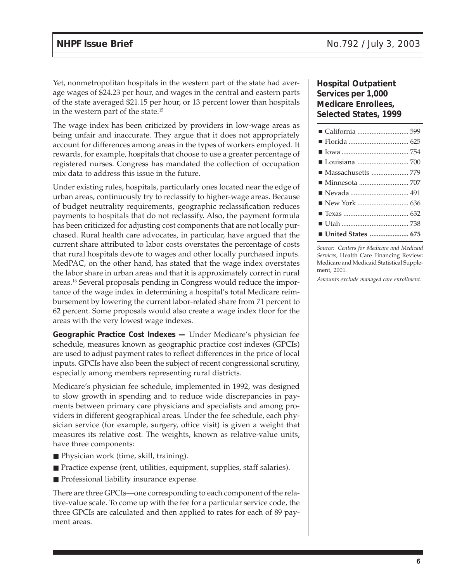Yet, nonmetropolitan hospitals in the western part of the state had average wages of \$24.23 per hour, and wages in the central and eastern parts of the state averaged \$21.15 per hour, or 13 percent lower than hospitals in the western part of the state.15

The wage index has been criticized by providers in low-wage areas as being unfair and inaccurate. They argue that it does not appropriately account for differences among areas in the types of workers employed. It rewards, for example, hospitals that choose to use a greater percentage of registered nurses. Congress has mandated the collection of occupation mix data to address this issue in the future.

Under existing rules, hospitals, particularly ones located near the edge of urban areas, continuously try to reclassify to higher-wage areas. Because of budget neutrality requirements, geographic reclassification reduces payments to hospitals that do not reclassify. Also, the payment formula has been criticized for adjusting cost components that are not locally purchased. Rural health care advocates, in particular, have argued that the current share attributed to labor costs overstates the percentage of costs that rural hospitals devote to wages and other locally purchased inputs. MedPAC, on the other hand, has stated that the wage index overstates the labor share in urban areas and that it is approximately correct in rural areas.16 Several proposals pending in Congress would reduce the importance of the wage index in determining a hospital's total Medicare reimbursement by lowering the current labor-related share from 71 percent to 62 percent. Some proposals would also create a wage index floor for the areas with the very lowest wage indexes.

**Geographic Practice Cost Indexes —** Under Medicare's physician fee schedule, measures known as geographic practice cost indexes (GPCIs) are used to adjust payment rates to reflect differences in the price of local inputs. GPCIs have also been the subject of recent congressional scrutiny, especially among members representing rural districts.

Medicare's physician fee schedule, implemented in 1992, was designed to slow growth in spending and to reduce wide discrepancies in payments between primary care physicians and specialists and among providers in different geographical areas. Under the fee schedule, each physician service (for example, surgery, office visit) is given a weight that measures its relative cost. The weights, known as relative-value units, have three components:

- Physician work (time, skill, training).
- Practice expense (rent, utilities, equipment, supplies, staff salaries).
- Professional liability insurance expense.

There are three GPCIs—one corresponding to each component of the relative-value scale. To come up with the fee for a particular service code, the three GPCIs are calculated and then applied to rates for each of 89 payment areas.

#### **Hospital Outpatient Services per 1,000 Medicare Enrollees, Selected States, 1999**

| Massachusetts  779 |  |
|--------------------|--|
|                    |  |
|                    |  |
|                    |  |
| ■ California  599  |  |

*Source: Centers for Medicare and Medicaid Services,* Health Care Financing Review: Medicare and Medicaid Statistical Supplement, 2001*.*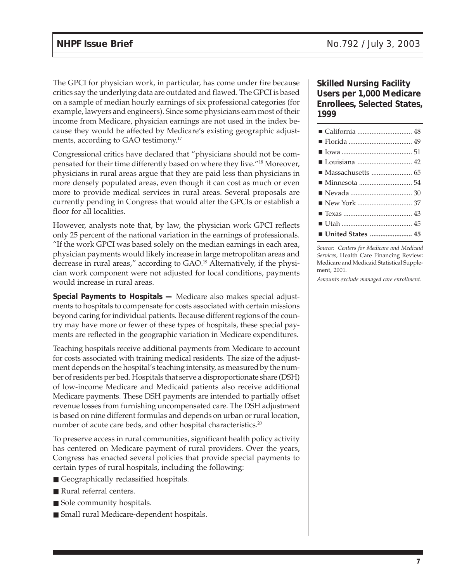The GPCI for physician work, in particular, has come under fire because critics say the underlying data are outdated and flawed. The GPCI is based on a sample of median hourly earnings of six professional categories (for example, lawyers and engineers). Since some physicians earn most of their income from Medicare, physician earnings are not used in the index because they would be affected by Medicare's existing geographic adjustments, according to GAO testimony.<sup>17</sup>

Congressional critics have declared that "physicians should not be compensated for their time differently based on where they live."18 Moreover, physicians in rural areas argue that they are paid less than physicians in more densely populated areas, even though it can cost as much or even more to provide medical services in rural areas. Several proposals are currently pending in Congress that would alter the GPCIs or establish a floor for all localities.

However, analysts note that, by law, the physician work GPCI reflects only 25 percent of the national variation in the earnings of professionals. "If the work GPCI was based solely on the median earnings in each area, physician payments would likely increase in large metropolitan areas and decrease in rural areas," according to GAO.<sup>19</sup> Alternatively, if the physician work component were not adjusted for local conditions, payments would increase in rural areas.

**Special Payments to Hospitals —** Medicare also makes special adjustments to hospitals to compensate for costs associated with certain missions beyond caring for individual patients. Because different regions of the country may have more or fewer of these types of hospitals, these special payments are reflected in the geographic variation in Medicare expenditures.

Teaching hospitals receive additional payments from Medicare to account for costs associated with training medical residents. The size of the adjustment depends on the hospital's teaching intensity, as measured by the number of residents per bed. Hospitals that serve a disproportionate share (DSH) of low-income Medicare and Medicaid patients also receive additional Medicare payments. These DSH payments are intended to partially offset revenue losses from furnishing uncompensated care. The DSH adjustment is based on nine different formulas and depends on urban or rural location, number of acute care beds, and other hospital characteristics.<sup>20</sup>

To preserve access in rural communities, significant health policy activity has centered on Medicare payment of rural providers. Over the years, Congress has enacted several policies that provide special payments to certain types of rural hospitals, including the following:

- Geographically reclassified hospitals.
- Rural referral centers.
- Sole community hospitals.
- Small rural Medicare-dependent hospitals.

#### **Skilled Nursing Facility Users per 1,000 Medicare Enrollees, Selected States, 1999**

| United States  45 |  |
|-------------------|--|

*Source: Centers for Medicare and Medicaid Services,* Health Care Financing Review: Medicare and Medicaid Statistical Supplement, 2001*.*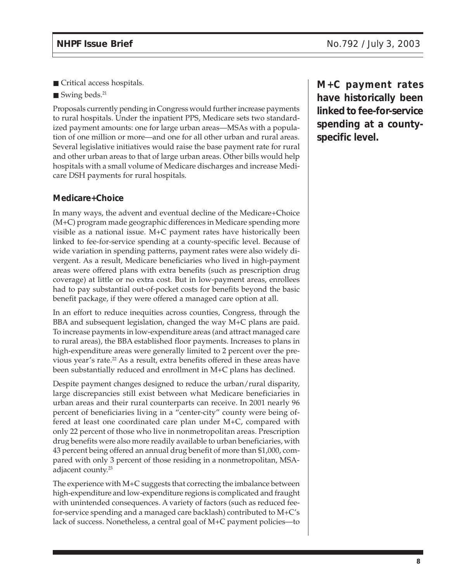- Critical access hospitals.
- Swing beds.<sup>21</sup>

Proposals currently pending in Congress would further increase payments to rural hospitals. Under the inpatient PPS, Medicare sets two standardized payment amounts: one for large urban areas—MSAs with a population of one million or more—and one for all other urban and rural areas. Several legislative initiatives would raise the base payment rate for rural and other urban areas to that of large urban areas. Other bills would help hospitals with a small volume of Medicare discharges and increase Medicare DSH payments for rural hospitals.

#### **Medicare+Choice**

In many ways, the advent and eventual decline of the Medicare+Choice (M+C) program made geographic differences in Medicare spending more visible as a national issue. M+C payment rates have historically been linked to fee-for-service spending at a county-specific level. Because of wide variation in spending patterns, payment rates were also widely divergent. As a result, Medicare beneficiaries who lived in high-payment areas were offered plans with extra benefits (such as prescription drug coverage) at little or no extra cost. But in low-payment areas, enrollees had to pay substantial out-of-pocket costs for benefits beyond the basic benefit package, if they were offered a managed care option at all.

In an effort to reduce inequities across counties, Congress, through the BBA and subsequent legislation, changed the way M+C plans are paid. To increase payments in low-expenditure areas (and attract managed care to rural areas), the BBA established floor payments. Increases to plans in high-expenditure areas were generally limited to 2 percent over the previous year's rate.<sup>22</sup> As a result, extra benefits offered in these areas have been substantially reduced and enrollment in M+C plans has declined.

Despite payment changes designed to reduce the urban/rural disparity, large discrepancies still exist between what Medicare beneficiaries in urban areas and their rural counterparts can receive. In 2001 nearly 96 percent of beneficiaries living in a "center-city" county were being offered at least one coordinated care plan under M+C, compared with only 22 percent of those who live in nonmetropolitan areas. Prescription drug benefits were also more readily available to urban beneficiaries, with 43 percent being offered an annual drug benefit of more than \$1,000, compared with only 3 percent of those residing in a nonmetropolitan, MSAadjacent county.<sup>23</sup>

The experience with M+C suggests that correcting the imbalance between high-expenditure and low-expenditure regions is complicated and fraught with unintended consequences. A variety of factors (such as reduced feefor-service spending and a managed care backlash) contributed to M+C's lack of success. Nonetheless, a central goal of M+C payment policies—to **M+C payment rates have historically been linked to fee-for-service spending at a countyspecific level.**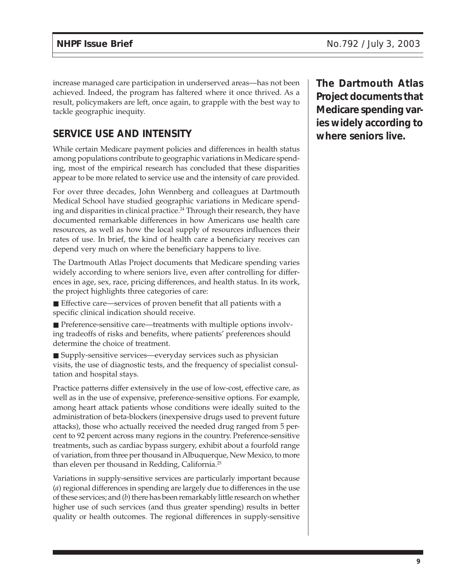increase managed care participation in underserved areas—has not been achieved. Indeed, the program has faltered where it once thrived. As a result, policymakers are left, once again, to grapple with the best way to tackle geographic inequity.

# **SERVICE USE AND INTENSITY**

While certain Medicare payment policies and differences in health status among populations contribute to geographic variations in Medicare spending, most of the empirical research has concluded that these disparities appear to be more related to service use and the intensity of care provided.

For over three decades, John Wennberg and colleagues at Dartmouth Medical School have studied geographic variations in Medicare spending and disparities in clinical practice.<sup>24</sup> Through their research, they have documented remarkable differences in how Americans use health care resources, as well as how the local supply of resources influences their rates of use. In brief, the kind of health care a beneficiary receives can depend very much on where the beneficiary happens to live.

The Dartmouth Atlas Project documents that Medicare spending varies widely according to where seniors live, even after controlling for differences in age, sex, race, pricing differences, and health status. In its work, the project highlights three categories of care:

■ Effective care—services of proven benefit that all patients with a specific clinical indication should receive.

■ Preference-sensitive care—treatments with multiple options involving tradeoffs of risks and benefits, where patients' preferences should determine the choice of treatment.

■ Supply-sensitive services—everyday services such as physician visits, the use of diagnostic tests, and the frequency of specialist consultation and hospital stays.

Practice patterns differ extensively in the use of low-cost, effective care, as well as in the use of expensive, preference-sensitive options. For example, among heart attack patients whose conditions were ideally suited to the administration of beta-blockers (inexpensive drugs used to prevent future attacks), those who actually received the needed drug ranged from 5 percent to 92 percent across many regions in the country. Preference-sensitive treatments, such as cardiac bypass surgery, exhibit about a fourfold range of variation, from three per thousand in Albuquerque, New Mexico, to more than eleven per thousand in Redding, California.25

Variations in supply-sensitive services are particularly important because (*a*) regional differences in spending are largely due to differences in the use of these services; and (*b*) there has been remarkably little research on whether higher use of such services (and thus greater spending) results in better quality or health outcomes. The regional differences in supply-sensitive

**The Dartmouth Atlas Project documents that Medicare spending varies widely according to where seniors live.**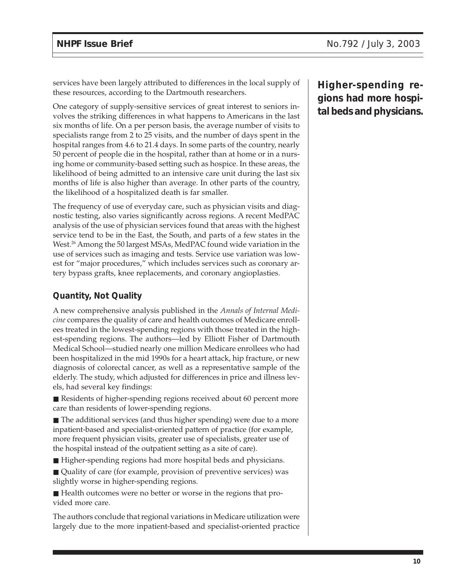services have been largely attributed to differences in the local supply of these resources, according to the Dartmouth researchers.

One category of supply-sensitive services of great interest to seniors involves the striking differences in what happens to Americans in the last six months of life. On a per person basis, the average number of visits to specialists range from 2 to 25 visits, and the number of days spent in the hospital ranges from 4.6 to 21.4 days. In some parts of the country, nearly 50 percent of people die in the hospital, rather than at home or in a nursing home or community-based setting such as hospice. In these areas, the likelihood of being admitted to an intensive care unit during the last six months of life is also higher than average. In other parts of the country, the likelihood of a hospitalized death is far smaller.

The frequency of use of everyday care, such as physician visits and diagnostic testing, also varies significantly across regions. A recent MedPAC analysis of the use of physician services found that areas with the highest service tend to be in the East, the South, and parts of a few states in the West.<sup>26</sup> Among the 50 largest MSAs, MedPAC found wide variation in the use of services such as imaging and tests. Service use variation was lowest for "major procedures," which includes services such as coronary artery bypass grafts, knee replacements, and coronary angioplasties.

### **Quantity, Not Quality**

A new comprehensive analysis published in the *Annals of Internal Medicine* compares the quality of care and health outcomes of Medicare enrollees treated in the lowest-spending regions with those treated in the highest-spending regions. The authors—led by Elliott Fisher of Dartmouth Medical School—studied nearly one million Medicare enrollees who had been hospitalized in the mid 1990s for a heart attack, hip fracture, or new diagnosis of colorectal cancer, as well as a representative sample of the elderly. The study, which adjusted for differences in price and illness levels, had several key findings:

■ Residents of higher-spending regions received about 60 percent more care than residents of lower-spending regions.

■ The additional services (and thus higher spending) were due to a more inpatient-based and specialist-oriented pattern of practice (for example, more frequent physician visits, greater use of specialists, greater use of the hospital instead of the outpatient setting as a site of care).

■ Higher-spending regions had more hospital beds and physicians.

■ Quality of care (for example, provision of preventive services) was slightly worse in higher-spending regions.

■ Health outcomes were no better or worse in the regions that provided more care.

The authors conclude that regional variations in Medicare utilization were largely due to the more inpatient-based and specialist-oriented practice **Higher-spending regions had more hospital beds and physicians.**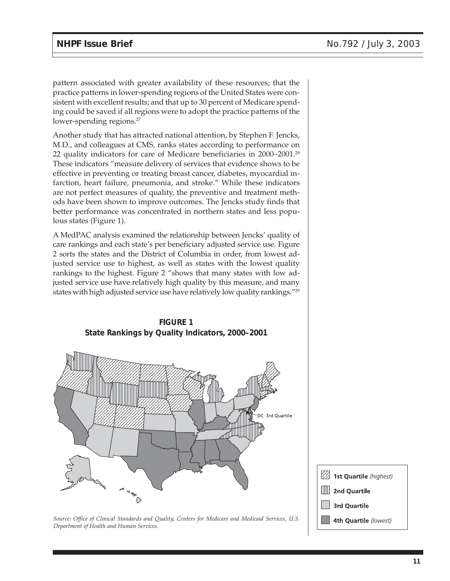pattern associated with greater availability of these resources; that the practice patterns in lower-spending regions of the United States were consistent with excellent results; and that up to 30 percent of Medicare spending could be saved if all regions were to adopt the practice patterns of the lower-spending regions.<sup>27</sup>

Another study that has attracted national attention, by Stephen F. Jencks, M.D., and colleagues at CMS, ranks states according to performance on 22 quality indicators for care of Medicare beneficiaries in 2000–2001.28 These indicators "measure delivery of services that evidence shows to be effective in preventing or treating breast cancer, diabetes, myocardial infarction, heart failure, pneumonia, and stroke." While these indicators are not perfect measures of quality, the preventive and treatment methods have been shown to improve outcomes. The Jencks study finds that better performance was concentrated in northern states and less populous states (Figure 1).

A MedPAC analysis examined the relationship between Jencks' quality of care rankings and each state's per beneficiary adjusted service use. Figure 2 sorts the states and the District of Columbia in order, from lowest adjusted service use to highest, as well as states with the lowest quality rankings to the highest. Figure 2 "shows that many states with low adjusted service use have relatively high quality by this measure, and many states with high adjusted service use have relatively low quality rankings."29





| 1st Quartile (highest) |
|------------------------|
| 2nd Quartile           |
| 3rd Quartile           |
| 4th Quartile (lowest)  |

*Source: Office of Clinical Standards and Quality, Centers for Medicare and Medicaid Services, U.S. Department of Health and Human Services.*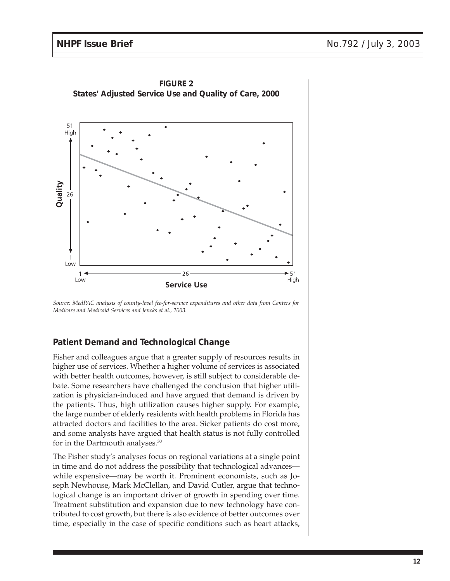

**FIGURE 2 States' Adjusted Service Use and Quality of Care, 2000**

## **Patient Demand and Technological Change**

Fisher and colleagues argue that a greater supply of resources results in higher use of services. Whether a higher volume of services is associated with better health outcomes, however, is still subject to considerable debate. Some researchers have challenged the conclusion that higher utilization is physician-induced and have argued that demand is driven by the patients. Thus, high utilization causes higher supply. For example, the large number of elderly residents with health problems in Florida has attracted doctors and facilities to the area. Sicker patients do cost more, and some analysts have argued that health status is not fully controlled for in the Dartmouth analyses.30

The Fisher study's analyses focus on regional variations at a single point in time and do not address the possibility that technological advances while expensive—may be worth it. Prominent economists, such as Joseph Newhouse, Mark McClellan, and David Cutler, argue that technological change is an important driver of growth in spending over time. Treatment substitution and expansion due to new technology have contributed to cost growth, but there is also evidence of better outcomes over time, especially in the case of specific conditions such as heart attacks,

*Source: MedPAC analysis of county-level fee-for-service expenditures and other data from Centers for Medicare and Medicaid Services and Jencks et al., 2003.*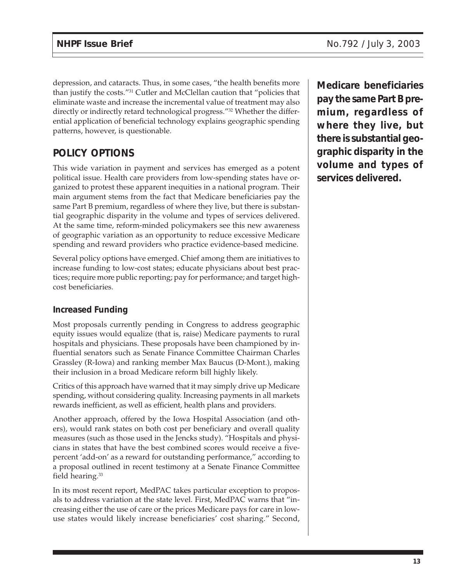depression, and cataracts. Thus, in some cases, "the health benefits more than justify the costs."<sup>31</sup> Cutler and McClellan caution that "policies that eliminate waste and increase the incremental value of treatment may also directly or indirectly retard technological progress."<sup>32</sup> Whether the differential application of beneficial technology explains geographic spending patterns, however, is questionable.

# **POLICY OPTIONS**

This wide variation in payment and services has emerged as a potent political issue. Health care providers from low-spending states have organized to protest these apparent inequities in a national program. Their main argument stems from the fact that Medicare beneficiaries pay the same Part B premium, regardless of where they live, but there is substantial geographic disparity in the volume and types of services delivered. At the same time, reform-minded policymakers see this new awareness of geographic variation as an opportunity to reduce excessive Medicare spending and reward providers who practice evidence-based medicine.

Several policy options have emerged. Chief among them are initiatives to increase funding to low-cost states; educate physicians about best practices; require more public reporting; pay for performance; and target highcost beneficiaries.

## **Increased Funding**

Most proposals currently pending in Congress to address geographic equity issues would equalize (that is, raise) Medicare payments to rural hospitals and physicians. These proposals have been championed by influential senators such as Senate Finance Committee Chairman Charles Grassley (R-Iowa) and ranking member Max Baucus (D-Mont.), making their inclusion in a broad Medicare reform bill highly likely.

Critics of this approach have warned that it may simply drive up Medicare spending, without considering quality. Increasing payments in all markets rewards inefficient, as well as efficient, health plans and providers.

Another approach, offered by the Iowa Hospital Association (and others), would rank states on both cost per beneficiary and overall quality measures (such as those used in the Jencks study). "Hospitals and physicians in states that have the best combined scores would receive a fivepercent 'add-on' as a reward for outstanding performance," according to a proposal outlined in recent testimony at a Senate Finance Committee field hearing.<sup>33</sup>

In its most recent report, MedPAC takes particular exception to proposals to address variation at the state level. First, MedPAC warns that "increasing either the use of care or the prices Medicare pays for care in lowuse states would likely increase beneficiaries' cost sharing." Second, **Medicare beneficiaries pay the same Part B premium, regardless of where they live, but there is substantial geographic disparity in the volume and types of services delivered.**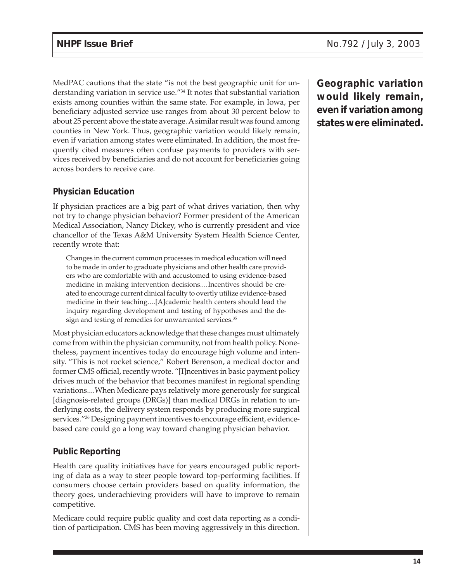MedPAC cautions that the state "is not the best geographic unit for understanding variation in service use."34 It notes that substantial variation exists among counties within the same state. For example, in Iowa, per beneficiary adjusted service use ranges from about 30 percent below to about 25 percent above the state average. A similar result was found among counties in New York. Thus, geographic variation would likely remain, even if variation among states were eliminated. In addition, the most frequently cited measures often confuse payments to providers with services received by beneficiaries and do not account for beneficiaries going across borders to receive care.

#### **Physician Education**

If physician practices are a big part of what drives variation, then why not try to change physician behavior? Former president of the American Medical Association, Nancy Dickey, who is currently president and vice chancellor of the Texas A&M University System Health Science Center, recently wrote that:

Changes in the current common processes in medical education will need to be made in order to graduate physicians and other health care providers who are comfortable with and accustomed to using evidence-based medicine in making intervention decisions....Incentives should be created to encourage current clinical faculty to overtly utilize evidence-based medicine in their teaching....[A]cademic health centers should lead the inquiry regarding development and testing of hypotheses and the design and testing of remedies for unwarranted services.<sup>35</sup>

Most physician educators acknowledge that these changes must ultimately come from within the physician community, not from health policy. Nonetheless, payment incentives today do encourage high volume and intensity. "This is not rocket science," Robert Berenson, a medical doctor and former CMS official, recently wrote. "[I]ncentives in basic payment policy drives much of the behavior that becomes manifest in regional spending variations....When Medicare pays relatively more generously for surgical [diagnosis-related groups (DRGs)] than medical DRGs in relation to underlying costs, the delivery system responds by producing more surgical services."<sup>36</sup> Designing payment incentives to encourage efficient, evidencebased care could go a long way toward changing physician behavior.

## **Public Reporting**

Health care quality initiatives have for years encouraged public reporting of data as a way to steer people toward top-performing facilities. If consumers choose certain providers based on quality information, the theory goes, underachieving providers will have to improve to remain competitive.

Medicare could require public quality and cost data reporting as a condition of participation. CMS has been moving aggressively in this direction.

**Geographic variation would likely remain, even if variation among states were eliminated.**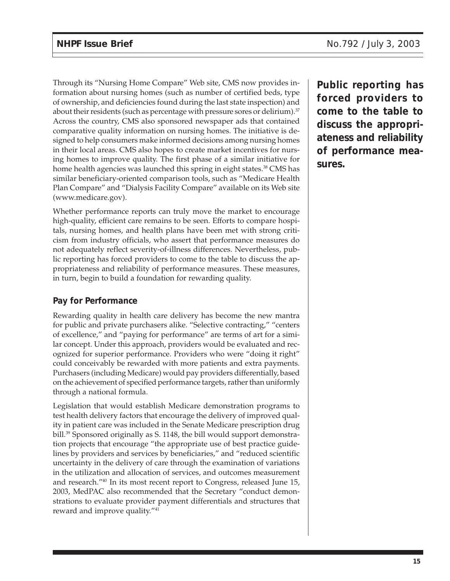Through its "Nursing Home Compare" Web site, CMS now provides information about nursing homes (such as number of certified beds, type of ownership, and deficiencies found during the last state inspection) and about their residents (such as percentage with pressure sores or delirium). $37$ Across the country, CMS also sponsored newspaper ads that contained comparative quality information on nursing homes. The initiative is designed to help consumers make informed decisions among nursing homes in their local areas. CMS also hopes to create market incentives for nursing homes to improve quality. The first phase of a similar initiative for home health agencies was launched this spring in eight states.<sup>38</sup> CMS has similar beneficiary-oriented comparison tools, such as "Medicare Health Plan Compare" and "Dialysis Facility Compare" available on its Web site (www.medicare.gov).

Whether performance reports can truly move the market to encourage high-quality, efficient care remains to be seen. Efforts to compare hospitals, nursing homes, and health plans have been met with strong criticism from industry officials, who assert that performance measures do not adequately reflect severity-of-illness differences. Nevertheless, public reporting has forced providers to come to the table to discuss the appropriateness and reliability of performance measures. These measures, in turn, begin to build a foundation for rewarding quality.

## **Pay for Performance**

Rewarding quality in health care delivery has become the new mantra for public and private purchasers alike. "Selective contracting," "centers of excellence," and "paying for performance" are terms of art for a similar concept. Under this approach, providers would be evaluated and recognized for superior performance. Providers who were "doing it right" could conceivably be rewarded with more patients and extra payments. Purchasers (including Medicare) would pay providers differentially, based on the achievement of specified performance targets, rather than uniformly through a national formula.

Legislation that would establish Medicare demonstration programs to test health delivery factors that encourage the delivery of improved quality in patient care was included in the Senate Medicare prescription drug bill.<sup>39</sup> Sponsored originally as S. 1148, the bill would support demonstration projects that encourage "the appropriate use of best practice guidelines by providers and services by beneficiaries," and "reduced scientific uncertainty in the delivery of care through the examination of variations in the utilization and allocation of services, and outcomes measurement and research."40 In its most recent report to Congress, released June 15, 2003, MedPAC also recommended that the Secretary "conduct demonstrations to evaluate provider payment differentials and structures that reward and improve quality."41

**Public reporting has forced providers to come to the table to discuss the appropriateness and reliability of performance measures.**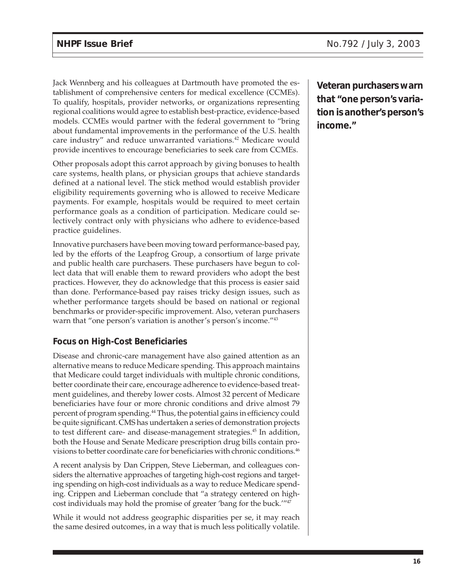Jack Wennberg and his colleagues at Dartmouth have promoted the establishment of comprehensive centers for medical excellence (CCMEs). To qualify, hospitals, provider networks, or organizations representing regional coalitions would agree to establish best-practice, evidence-based models. CCMEs would partner with the federal government to "bring about fundamental improvements in the performance of the U.S. health care industry" and reduce unwarranted variations.<sup>42</sup> Medicare would provide incentives to encourage beneficiaries to seek care from CCMEs.

Other proposals adopt this carrot approach by giving bonuses to health care systems, health plans, or physician groups that achieve standards defined at a national level. The stick method would establish provider eligibility requirements governing who is allowed to receive Medicare payments. For example, hospitals would be required to meet certain performance goals as a condition of participation. Medicare could selectively contract only with physicians who adhere to evidence-based practice guidelines.

Innovative purchasers have been moving toward performance-based pay, led by the efforts of the Leapfrog Group, a consortium of large private and public health care purchasers. These purchasers have begun to collect data that will enable them to reward providers who adopt the best practices. However, they do acknowledge that this process is easier said than done. Performance-based pay raises tricky design issues, such as whether performance targets should be based on national or regional benchmarks or provider-specific improvement. Also, veteran purchasers warn that "one person's variation is another's person's income."<sup>43</sup>

#### **Focus on High-Cost Beneficiaries**

Disease and chronic-care management have also gained attention as an alternative means to reduce Medicare spending. This approach maintains that Medicare could target individuals with multiple chronic conditions, better coordinate their care, encourage adherence to evidence-based treatment guidelines, and thereby lower costs. Almost 32 percent of Medicare beneficiaries have four or more chronic conditions and drive almost 79 percent of program spending.<sup>44</sup> Thus, the potential gains in efficiency could be quite significant. CMS has undertaken a series of demonstration projects to test different care- and disease-management strategies.<sup>45</sup> In addition, both the House and Senate Medicare prescription drug bills contain provisions to better coordinate care for beneficiaries with chronic conditions.<sup>46</sup>

A recent analysis by Dan Crippen, Steve Lieberman, and colleagues considers the alternative approaches of targeting high-cost regions and targeting spending on high-cost individuals as a way to reduce Medicare spending. Crippen and Lieberman conclude that "a strategy centered on highcost individuals may hold the promise of greater 'bang for the buck."<sup>47</sup>

While it would not address geographic disparities per se, it may reach the same desired outcomes, in a way that is much less politically volatile.

**Veteran purchasers warn that "one person's variation is another's person's income."**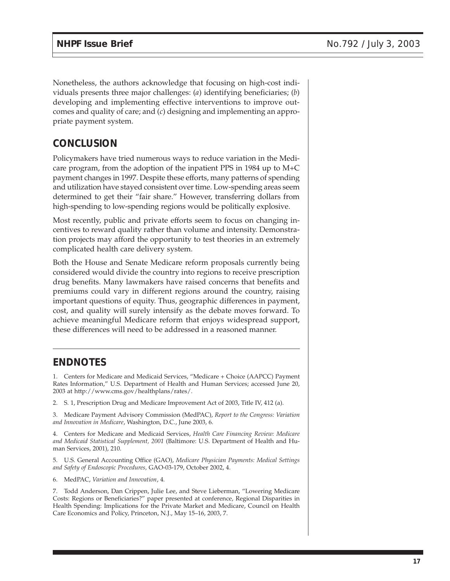Nonetheless, the authors acknowledge that focusing on high-cost individuals presents three major challenges: (*a*) identifying beneficiaries; (*b*) developing and implementing effective interventions to improve outcomes and quality of care; and (*c*) designing and implementing an appropriate payment system.

# **CONCLUSION**

Policymakers have tried numerous ways to reduce variation in the Medicare program, from the adoption of the inpatient PPS in 1984 up to M+C payment changes in 1997. Despite these efforts, many patterns of spending and utilization have stayed consistent over time. Low-spending areas seem determined to get their "fair share." However, transferring dollars from high-spending to low-spending regions would be politically explosive.

Most recently, public and private efforts seem to focus on changing incentives to reward quality rather than volume and intensity. Demonstration projects may afford the opportunity to test theories in an extremely complicated health care delivery system.

Both the House and Senate Medicare reform proposals currently being considered would divide the country into regions to receive prescription drug benefits. Many lawmakers have raised concerns that benefits and premiums could vary in different regions around the country, raising important questions of equity. Thus, geographic differences in payment, cost, and quality will surely intensify as the debate moves forward. To achieve meaningful Medicare reform that enjoys widespread support, these differences will need to be addressed in a reasoned manner.

# **ENDNOTES**

1. Centers for Medicare and Medicaid Services, "Medicare + Choice (AAPCC) Payment Rates Information," U.S. Department of Health and Human Services; accessed June 20, 2003 at http://www.cms.gov/healthplans/rates/.

2. S. 1, Prescription Drug and Medicare Improvement Act of 2003, Title IV, 412 (a).

3. Medicare Payment Advisory Commission (MedPAC), *Report to the Congress: Variation and Innovation in Medicare*, Washington, D.C., June 2003, 6.

4. Centers for Medicare and Medicaid Services, *Health Care Financing Review: Medicare and Medicaid Statistical Supplement, 2001* (Baltimore: U.S. Department of Health and Human Services, 2001), 210.

5. U.S. General Accounting Office (GAO), *Medicare Physician Payments: Medical Settings and Safety of Endoscopic Procedures,* GAO-03-179, October 2002, 4.

6. MedPAC, *Variation and Innovation*, 4.

7. Todd Anderson, Dan Crippen, Julie Lee, and Steve Lieberman, "Lowering Medicare Costs: Regions or Beneficiaries?" paper presented at conference, Regional Disparities in Health Spending: Implications for the Private Market and Medicare, Council on Health Care Economics and Policy, Princeton, N.J., May 15–16, 2003, 7.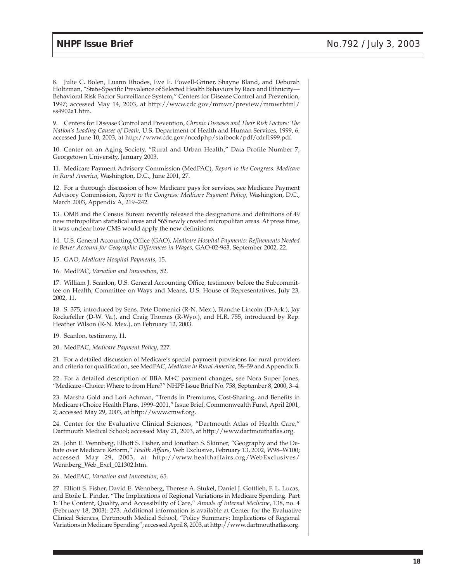8. Julie C. Bolen, Luann Rhodes, Eve E. Powell-Griner, Shayne Bland, and Deborah Holtzman, "State-Specific Prevalence of Selected Health Behaviors by Race and Ethnicity— Behavioral Risk Factor Surveillance System," Centers for Disease Control and Prevention, 1997; accessed May 14, 2003, at http://www.cdc.gov/mmwr/preview/mmwrhtml/ ss4902a1.htm.

9. Centers for Disease Control and Prevention, *Chronic Diseases and Their Risk Factors: The Nation's Leading Causes of Death*, U.S. Department of Health and Human Services, 1999, 6; accessed June 10, 2003, at http://www.cdc.gov/nccdphp/statbook/pdf/cdrf1999.pdf.

10. Center on an Aging Society, "Rural and Urban Health," Data Profile Number 7, Georgetown University, January 2003.

11. Medicare Payment Advisory Commission (MedPAC), *Report to the Congress: Medicare in Rural America*, Washington, D.C., June 2001, 27.

12. For a thorough discussion of how Medicare pays for services, see Medicare Payment Advisory Commission, *Report to the Congress: Medicare Payment Policy*, Washington, D.C., March 2003, Appendix A, 219–242.

13. OMB and the Census Bureau recently released the designations and definitions of 49 new metropolitan statistical areas and 565 newly created micropolitan areas. At press time, it was unclear how CMS would apply the new definitions.

14. U.S. General Accounting Office (GAO), *Medicare Hospital Payments: Refinements Needed to Better Account for Geographic Differences in Wages*, GAO-02-963, September 2002, 22.

15. GAO, *Medicare Hospital Payments*, 15.

16. MedPAC, *Variation and Innovation*, 52.

17. William J. Scanlon, U.S. General Accounting Office, testimony before the Subcommittee on Health, Committee on Ways and Means, U.S. House of Representatives, July 23, 2002, 11.

18. S. 375, introduced by Sens. Pete Domenici (R-N. Mex.), Blanche Lincoln (D-Ark.), Jay Rockefeller (D-W. Va.), and Craig Thomas (R-Wyo.), and H.R. 755, introduced by Rep. Heather Wilson (R-N. Mex.), on February 12, 2003.

19. Scanlon, testimony, 11.

20. MedPAC, *Medicare Payment Policy*, 227.

21. For a detailed discussion of Medicare's special payment provisions for rural providers and criteria for qualification, see MedPAC, *Medicare in Rural America*, 58–59 and Appendix B.

22. For a detailed description of BBA M+C payment changes, see Nora Super Jones, "Medicare+Choice: Where to from Here?" NHPF Issue Brief No. 758, September 8, 2000, 3–4.

23. Marsha Gold and Lori Achman, "Trends in Premiums, Cost-Sharing, and Benefits in Medicare+Choice Health Plans, 1999–2001," Issue Brief, Commonwealth Fund, April 2001, 2; accessed May 29, 2003, at http://www.cmwf.org.

24. Center for the Evaluative Clinical Sciences, "Dartmouth Atlas of Health Care," Dartmouth Medical School; accessed May 21, 2003, at http://www.dartmouthatlas.org.

25. John E. Wennberg, Elliott S. Fisher, and Jonathan S. Skinner, "Geography and the Debate over Medicare Reform," *Health Affairs,* Web Exclusive, February 13, 2002, W98–W100; accessed May 29, 2003, at http://www.healthaffairs.org/WebExclusives/ Wennberg\_Web\_Excl\_021302.htm.

26. MedPAC, *Variation and Innovation*, 65.

27. Elliott S. Fisher, David E. Wennberg, Therese A. Stukel, Daniel J. Gottlieb, F. L. Lucas, and Etoile L. Pinder, "The Implications of Regional Variations in Medicare Spending. Part 1: The Content, Quality, and Accessibility of Care," *Annals of Internal Medicine*, 138, no. 4 (February 18, 2003): 273. Additional information is available at Center for the Evaluative Clinical Sciences, Dartmouth Medical School, "Policy Summary: Implications of Regional Variations in Medicare Spending"; accessed April 8, 2003, at http://www.dartmouthatlas.org.